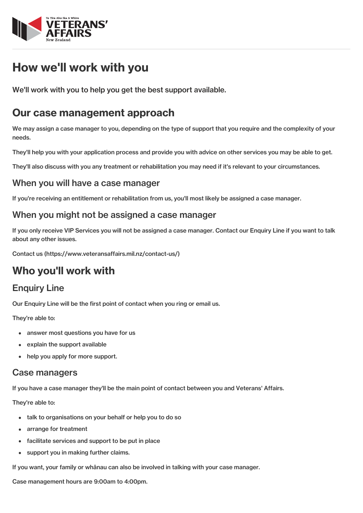

# How we'll work with you

We'll work with you to help you get the best support available.

## Our case management approach

We may assign a case manager to you, depending on the type of support that you require and the complexity of your needs.

They'll help you with your application process and provide you with advice on other services you may be able to get.

They'll also discuss with you any treatment or rehabilitation you may need if it's relevant to your circumstances.

### When you will have a case manager

If you're receiving an entitlement or rehabilitation from us, you'll most likely be assigned a case manager.

### When you might not be assigned a case manager

If you only receive VIP Services you will not be assigned a case manager. Contact our Enquiry Line if you want to talk about any other issues.

Contact us [\(https://www.veteransaffairs.mil.nz/contact-us/\)](http://veteransaffairs.mil.nz/contact-us/)

## Who you'll work with

### Enquiry Line

Our Enquiry Line will be the first point of contact when you ring or email us.

They're able to:

- answer most questions you have for us
- explain the support available  $\bullet$
- help you apply for more support.

#### Case managers

If you have a case manager they'll be the main point of contact between you and Veterans' Affairs.

They're able to:

- talk to organisations on your behalf or help you to do so
- arrange for treatment
- facilitate services and support to be put in place
- support you in making further claims.  $\bullet$

If you want, your family or whānau can also be involved in talking with your case manager.

Case management hours are 9:00am to 4:00pm.